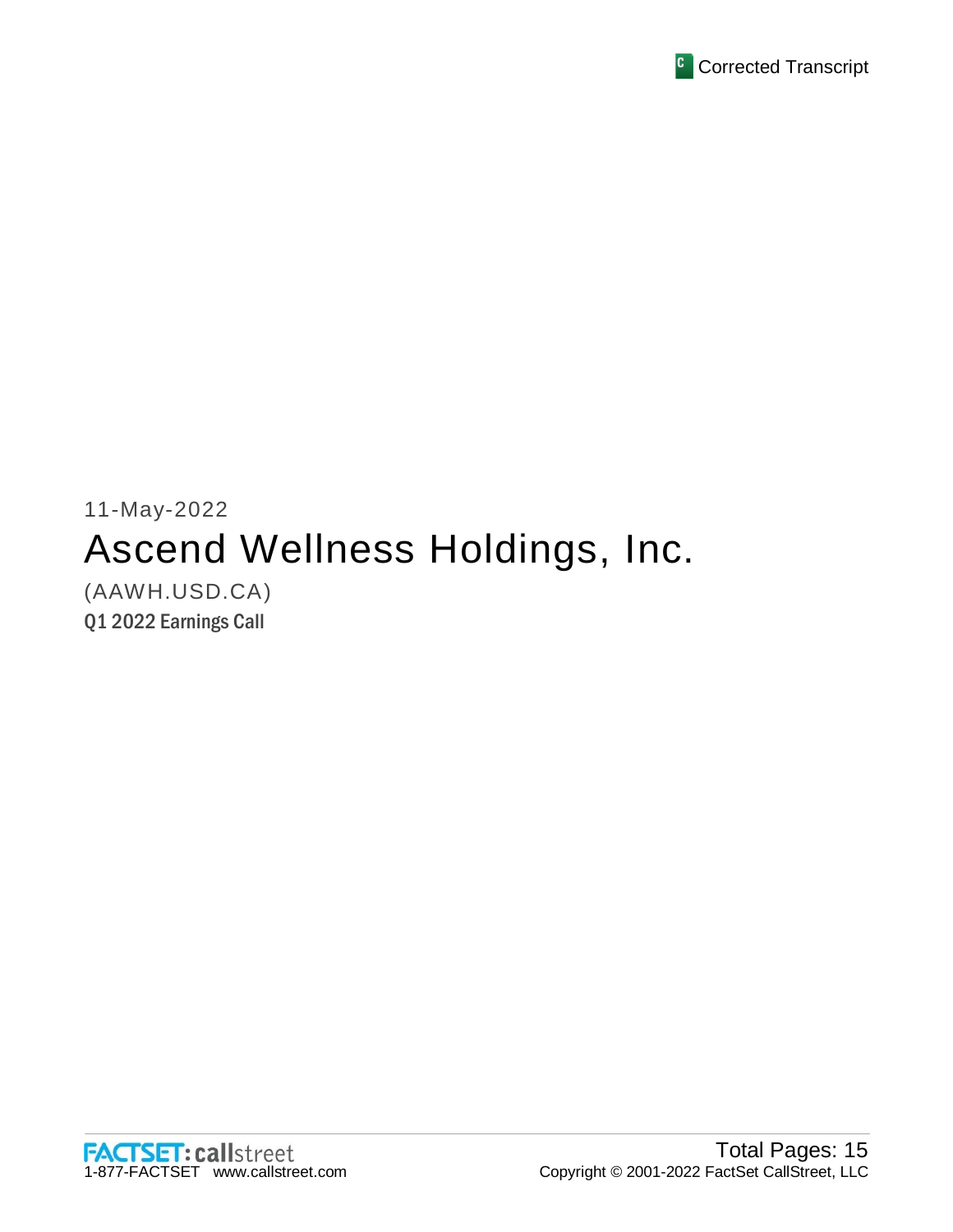

# 11-May-2022 Ascend Wellness Holdings, Inc. (AAWH.USD.CA)

Q1 2022 Earnings Call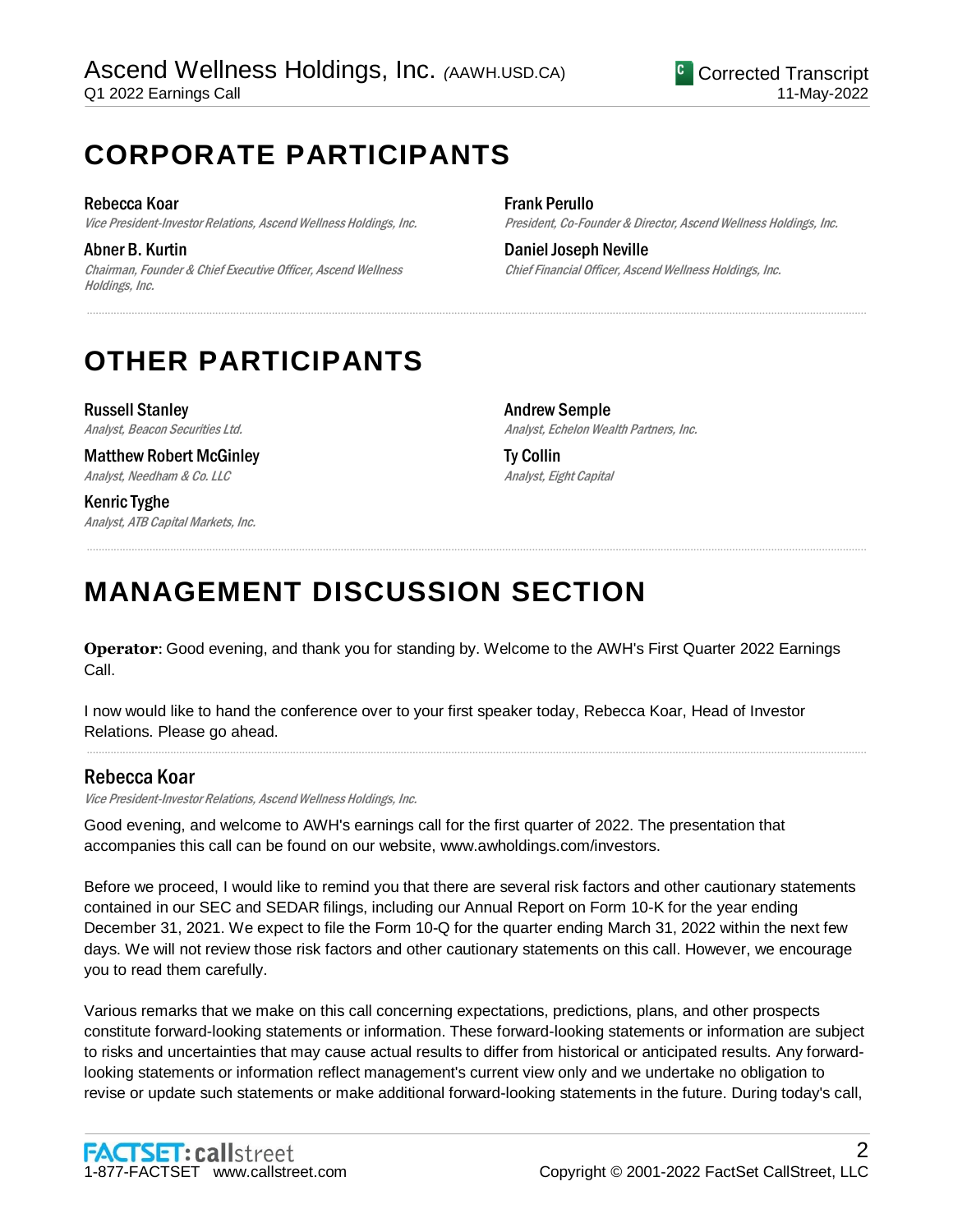# **CORPORATE PARTICIPANTS**

Rebecca Koar Vice President-Investor Relations, Ascend Wellness Holdings, Inc.

Abner B. Kurtin Chairman, Founder & Chief Executive Officer, Ascend Wellness Holdings, Inc.

Frank Perullo President, Co-Founder & Director, Ascend Wellness Holdings, Inc.

Daniel Joseph Neville Chief Financial Officer, Ascend Wellness Holdings, Inc.

# **OTHER PARTICIPANTS**

Russell Stanley Analyst, Beacon Securities Ltd.

Matthew Robert McGinley Analyst, Needham & Co. LLC

Kenric Tyghe Analyst, ATB Capital Markets, Inc. Andrew Semple Analyst, Echelon Wealth Partners, Inc.

Ty Collin Analyst, Eight Capital

# **MANAGEMENT DISCUSSION SECTION**

**Operator**: Good evening, and thank you for standing by. Welcome to the AWH's First Quarter 2022 Earnings Call.

.....................................................................................................................................................................................................................................................................

.....................................................................................................................................................................................................................................................................

.....................................................................................................................................................................................................................................................................

I now would like to hand the conference over to your first speaker today, Rebecca Koar, Head of Investor Relations. Please go ahead.

# Rebecca Koar

Vice President-Investor Relations, Ascend Wellness Holdings, Inc.

Good evening, and welcome to AWH's earnings call for the first quarter of 2022. The presentation that accompanies this call can be found on our website, www.awholdings.com/investors.

Before we proceed, I would like to remind you that there are several risk factors and other cautionary statements contained in our SEC and SEDAR filings, including our Annual Report on Form 10-K for the year ending December 31, 2021. We expect to file the Form 10-Q for the quarter ending March 31, 2022 within the next few days. We will not review those risk factors and other cautionary statements on this call. However, we encourage you to read them carefully.

Various remarks that we make on this call concerning expectations, predictions, plans, and other prospects constitute forward-looking statements or information. These forward-looking statements or information are subject to risks and uncertainties that may cause actual results to differ from historical or anticipated results. Any forwardlooking statements or information reflect management's current view only and we undertake no obligation to revise or update such statements or make additional forward-looking statements in the future. During today's call,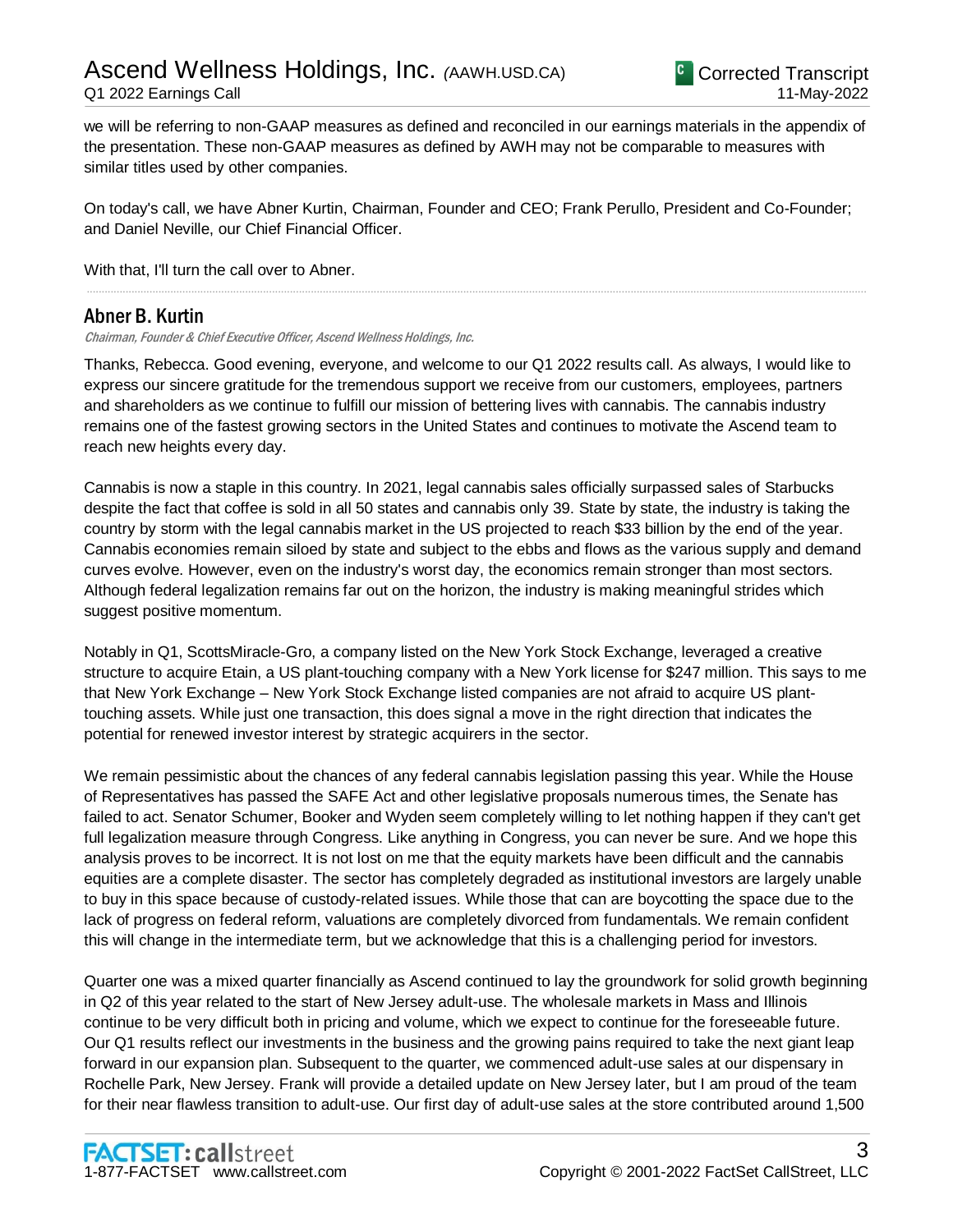we will be referring to non-GAAP measures as defined and reconciled in our earnings materials in the appendix of the presentation. These non-GAAP measures as defined by AWH may not be comparable to measures with similar titles used by other companies.

On today's call, we have Abner Kurtin, Chairman, Founder and CEO; Frank Perullo, President and Co-Founder; and Daniel Neville, our Chief Financial Officer.

.....................................................................................................................................................................................................................................................................

With that, I'll turn the call over to Abner.

## Abner B. Kurtin

Chairman, Founder & Chief Executive Officer, Ascend Wellness Holdings, Inc.

Thanks, Rebecca. Good evening, everyone, and welcome to our Q1 2022 results call. As always, I would like to express our sincere gratitude for the tremendous support we receive from our customers, employees, partners and shareholders as we continue to fulfill our mission of bettering lives with cannabis. The cannabis industry remains one of the fastest growing sectors in the United States and continues to motivate the Ascend team to reach new heights every day.

Cannabis is now a staple in this country. In 2021, legal cannabis sales officially surpassed sales of Starbucks despite the fact that coffee is sold in all 50 states and cannabis only 39. State by state, the industry is taking the country by storm with the legal cannabis market in the US projected to reach \$33 billion by the end of the year. Cannabis economies remain siloed by state and subject to the ebbs and flows as the various supply and demand curves evolve. However, even on the industry's worst day, the economics remain stronger than most sectors. Although federal legalization remains far out on the horizon, the industry is making meaningful strides which suggest positive momentum.

Notably in Q1, ScottsMiracle-Gro, a company listed on the New York Stock Exchange, leveraged a creative structure to acquire Etain, a US plant-touching company with a New York license for \$247 million. This says to me that New York Exchange – New York Stock Exchange listed companies are not afraid to acquire US planttouching assets. While just one transaction, this does signal a move in the right direction that indicates the potential for renewed investor interest by strategic acquirers in the sector.

We remain pessimistic about the chances of any federal cannabis legislation passing this year. While the House of Representatives has passed the SAFE Act and other legislative proposals numerous times, the Senate has failed to act. Senator Schumer, Booker and Wyden seem completely willing to let nothing happen if they can't get full legalization measure through Congress. Like anything in Congress, you can never be sure. And we hope this analysis proves to be incorrect. It is not lost on me that the equity markets have been difficult and the cannabis equities are a complete disaster. The sector has completely degraded as institutional investors are largely unable to buy in this space because of custody-related issues. While those that can are boycotting the space due to the lack of progress on federal reform, valuations are completely divorced from fundamentals. We remain confident this will change in the intermediate term, but we acknowledge that this is a challenging period for investors.

Quarter one was a mixed quarter financially as Ascend continued to lay the groundwork for solid growth beginning in Q2 of this year related to the start of New Jersey adult-use. The wholesale markets in Mass and Illinois continue to be very difficult both in pricing and volume, which we expect to continue for the foreseeable future. Our Q1 results reflect our investments in the business and the growing pains required to take the next giant leap forward in our expansion plan. Subsequent to the quarter, we commenced adult-use sales at our dispensary in Rochelle Park, New Jersey. Frank will provide a detailed update on New Jersey later, but I am proud of the team for their near flawless transition to adult-use. Our first day of adult-use sales at the store contributed around 1,500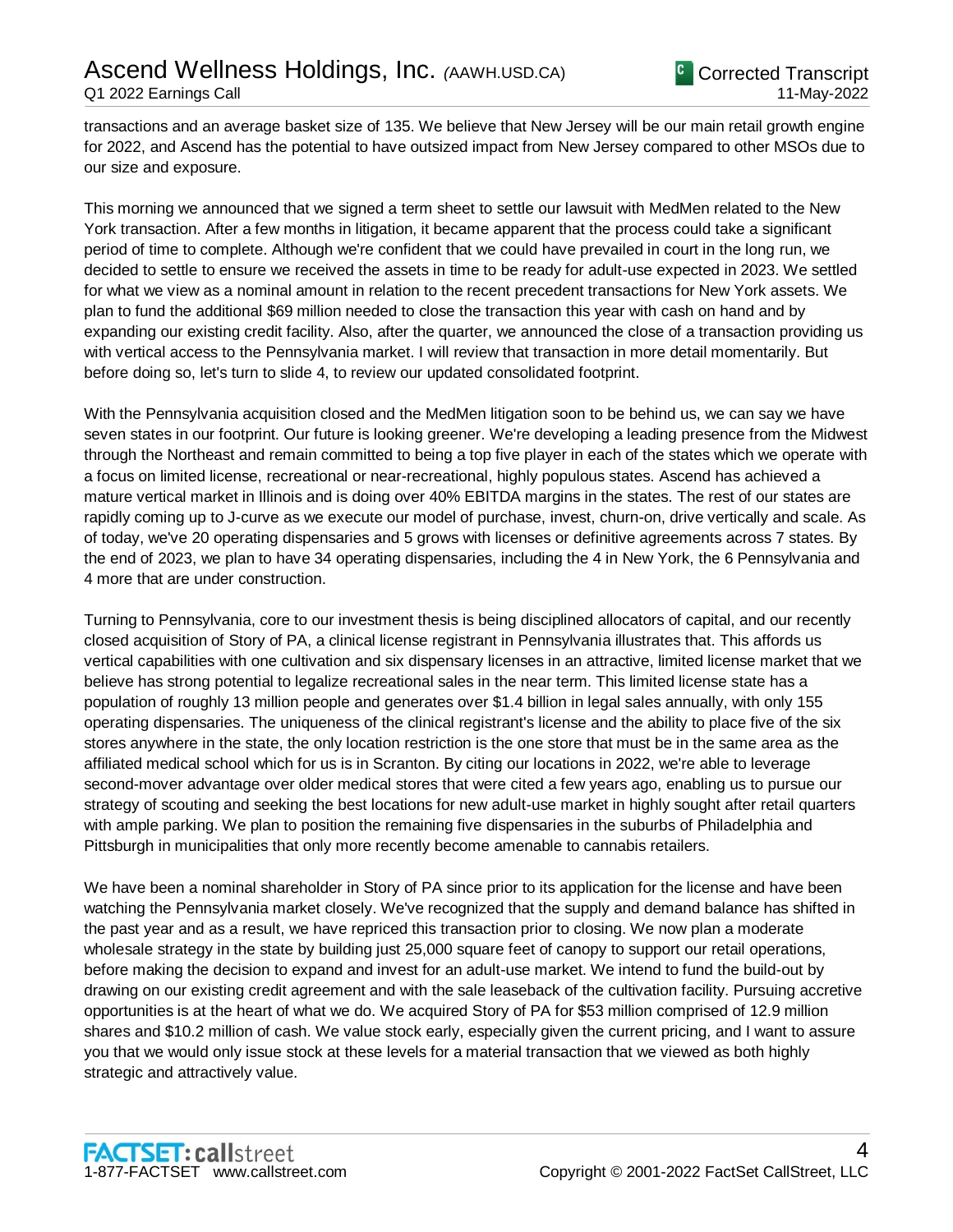transactions and an average basket size of 135. We believe that New Jersey will be our main retail growth engine for 2022, and Ascend has the potential to have outsized impact from New Jersey compared to other MSOs due to our size and exposure.

This morning we announced that we signed a term sheet to settle our lawsuit with MedMen related to the New York transaction. After a few months in litigation, it became apparent that the process could take a significant period of time to complete. Although we're confident that we could have prevailed in court in the long run, we decided to settle to ensure we received the assets in time to be ready for adult-use expected in 2023. We settled for what we view as a nominal amount in relation to the recent precedent transactions for New York assets. We plan to fund the additional \$69 million needed to close the transaction this year with cash on hand and by expanding our existing credit facility. Also, after the quarter, we announced the close of a transaction providing us with vertical access to the Pennsylvania market. I will review that transaction in more detail momentarily. But before doing so, let's turn to slide 4, to review our updated consolidated footprint.

With the Pennsylvania acquisition closed and the MedMen litigation soon to be behind us, we can say we have seven states in our footprint. Our future is looking greener. We're developing a leading presence from the Midwest through the Northeast and remain committed to being a top five player in each of the states which we operate with a focus on limited license, recreational or near-recreational, highly populous states. Ascend has achieved a mature vertical market in Illinois and is doing over 40% EBITDA margins in the states. The rest of our states are rapidly coming up to J-curve as we execute our model of purchase, invest, churn-on, drive vertically and scale. As of today, we've 20 operating dispensaries and 5 grows with licenses or definitive agreements across 7 states. By the end of 2023, we plan to have 34 operating dispensaries, including the 4 in New York, the 6 Pennsylvania and 4 more that are under construction.

Turning to Pennsylvania, core to our investment thesis is being disciplined allocators of capital, and our recently closed acquisition of Story of PA, a clinical license registrant in Pennsylvania illustrates that. This affords us vertical capabilities with one cultivation and six dispensary licenses in an attractive, limited license market that we believe has strong potential to legalize recreational sales in the near term. This limited license state has a population of roughly 13 million people and generates over \$1.4 billion in legal sales annually, with only 155 operating dispensaries. The uniqueness of the clinical registrant's license and the ability to place five of the six stores anywhere in the state, the only location restriction is the one store that must be in the same area as the affiliated medical school which for us is in Scranton. By citing our locations in 2022, we're able to leverage second-mover advantage over older medical stores that were cited a few years ago, enabling us to pursue our strategy of scouting and seeking the best locations for new adult-use market in highly sought after retail quarters with ample parking. We plan to position the remaining five dispensaries in the suburbs of Philadelphia and Pittsburgh in municipalities that only more recently become amenable to cannabis retailers.

We have been a nominal shareholder in Story of PA since prior to its application for the license and have been watching the Pennsylvania market closely. We've recognized that the supply and demand balance has shifted in the past year and as a result, we have repriced this transaction prior to closing. We now plan a moderate wholesale strategy in the state by building just 25,000 square feet of canopy to support our retail operations, before making the decision to expand and invest for an adult-use market. We intend to fund the build-out by drawing on our existing credit agreement and with the sale leaseback of the cultivation facility. Pursuing accretive opportunities is at the heart of what we do. We acquired Story of PA for \$53 million comprised of 12.9 million shares and \$10.2 million of cash. We value stock early, especially given the current pricing, and I want to assure you that we would only issue stock at these levels for a material transaction that we viewed as both highly strategic and attractively value.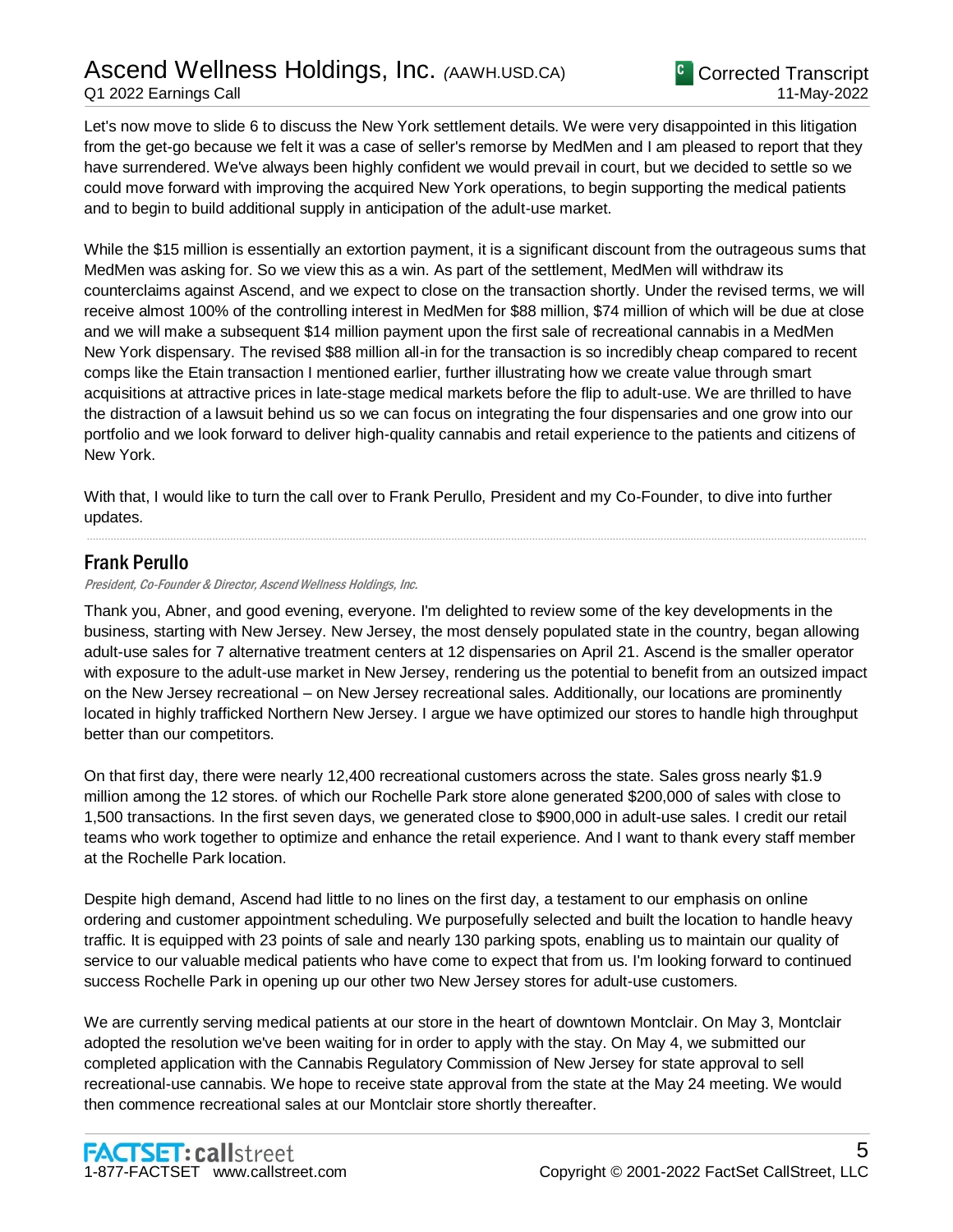Let's now move to slide 6 to discuss the New York settlement details. We were very disappointed in this litigation from the get-go because we felt it was a case of seller's remorse by MedMen and I am pleased to report that they have surrendered. We've always been highly confident we would prevail in court, but we decided to settle so we could move forward with improving the acquired New York operations, to begin supporting the medical patients and to begin to build additional supply in anticipation of the adult-use market.

While the \$15 million is essentially an extortion payment, it is a significant discount from the outrageous sums that MedMen was asking for. So we view this as a win. As part of the settlement, MedMen will withdraw its counterclaims against Ascend, and we expect to close on the transaction shortly. Under the revised terms, we will receive almost 100% of the controlling interest in MedMen for \$88 million, \$74 million of which will be due at close and we will make a subsequent \$14 million payment upon the first sale of recreational cannabis in a MedMen New York dispensary. The revised \$88 million all-in for the transaction is so incredibly cheap compared to recent comps like the Etain transaction I mentioned earlier, further illustrating how we create value through smart acquisitions at attractive prices in late-stage medical markets before the flip to adult-use. We are thrilled to have the distraction of a lawsuit behind us so we can focus on integrating the four dispensaries and one grow into our portfolio and we look forward to deliver high-quality cannabis and retail experience to the patients and citizens of New York.

With that, I would like to turn the call over to Frank Perullo, President and my Co-Founder, to dive into further updates.

.....................................................................................................................................................................................................................................................................

### Frank Perullo

President, Co-Founder & Director, Ascend Wellness Holdings, Inc.

Thank you, Abner, and good evening, everyone. I'm delighted to review some of the key developments in the business, starting with New Jersey. New Jersey, the most densely populated state in the country, began allowing adult-use sales for 7 alternative treatment centers at 12 dispensaries on April 21. Ascend is the smaller operator with exposure to the adult-use market in New Jersey, rendering us the potential to benefit from an outsized impact on the New Jersey recreational – on New Jersey recreational sales. Additionally, our locations are prominently located in highly trafficked Northern New Jersey. I argue we have optimized our stores to handle high throughput better than our competitors.

On that first day, there were nearly 12,400 recreational customers across the state. Sales gross nearly \$1.9 million among the 12 stores. of which our Rochelle Park store alone generated \$200,000 of sales with close to 1,500 transactions. In the first seven days, we generated close to \$900,000 in adult-use sales. I credit our retail teams who work together to optimize and enhance the retail experience. And I want to thank every staff member at the Rochelle Park location.

Despite high demand, Ascend had little to no lines on the first day, a testament to our emphasis on online ordering and customer appointment scheduling. We purposefully selected and built the location to handle heavy traffic. It is equipped with 23 points of sale and nearly 130 parking spots, enabling us to maintain our quality of service to our valuable medical patients who have come to expect that from us. I'm looking forward to continued success Rochelle Park in opening up our other two New Jersey stores for adult-use customers.

We are currently serving medical patients at our store in the heart of downtown Montclair. On May 3, Montclair adopted the resolution we've been waiting for in order to apply with the stay. On May 4, we submitted our completed application with the Cannabis Regulatory Commission of New Jersey for state approval to sell recreational-use cannabis. We hope to receive state approval from the state at the May 24 meeting. We would then commence recreational sales at our Montclair store shortly thereafter.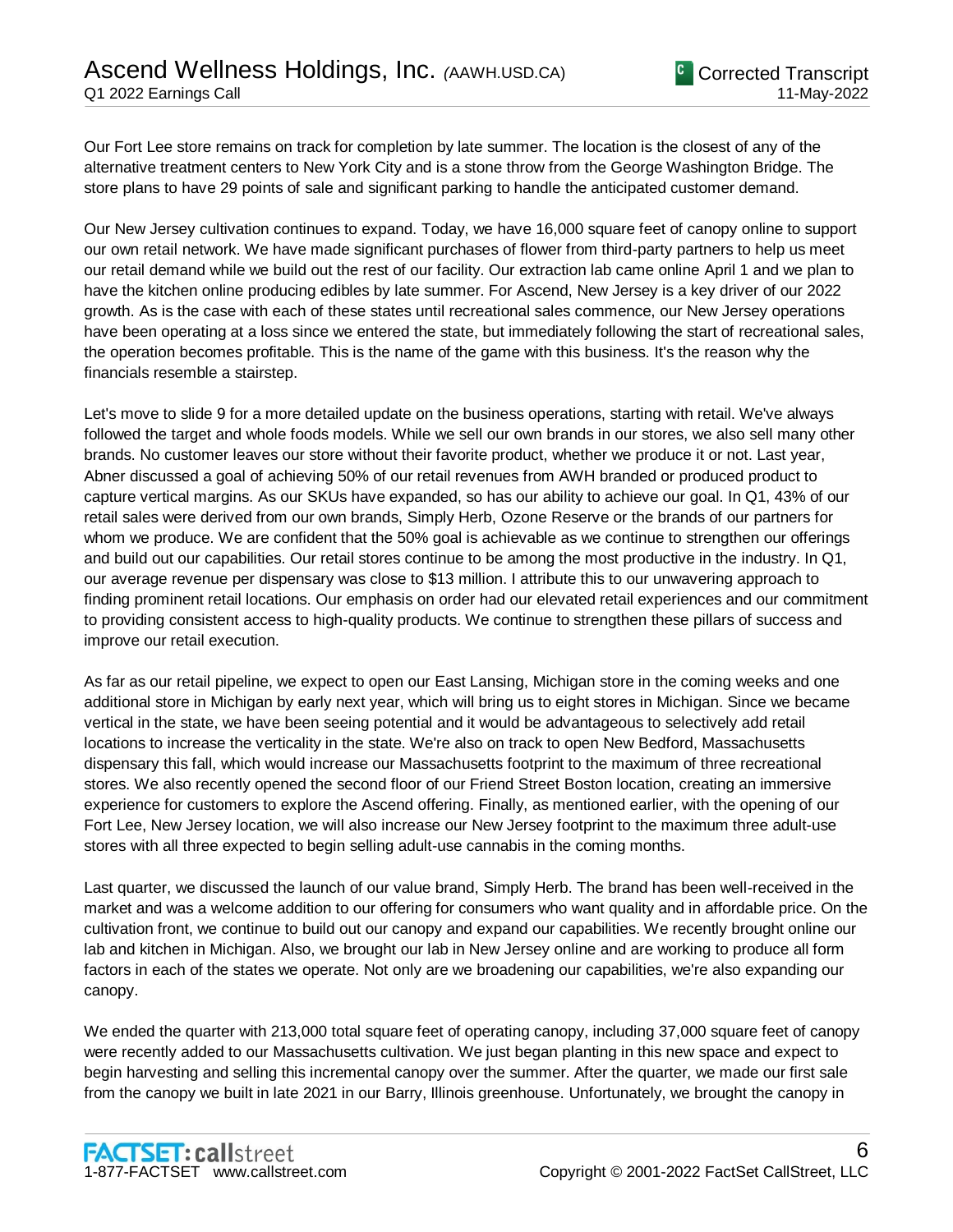Our Fort Lee store remains on track for completion by late summer. The location is the closest of any of the alternative treatment centers to New York City and is a stone throw from the George Washington Bridge. The store plans to have 29 points of sale and significant parking to handle the anticipated customer demand.

Our New Jersey cultivation continues to expand. Today, we have 16,000 square feet of canopy online to support our own retail network. We have made significant purchases of flower from third-party partners to help us meet our retail demand while we build out the rest of our facility. Our extraction lab came online April 1 and we plan to have the kitchen online producing edibles by late summer. For Ascend, New Jersey is a key driver of our 2022 growth. As is the case with each of these states until recreational sales commence, our New Jersey operations have been operating at a loss since we entered the state, but immediately following the start of recreational sales, the operation becomes profitable. This is the name of the game with this business. It's the reason why the financials resemble a stairstep.

Let's move to slide 9 for a more detailed update on the business operations, starting with retail. We've always followed the target and whole foods models. While we sell our own brands in our stores, we also sell many other brands. No customer leaves our store without their favorite product, whether we produce it or not. Last year, Abner discussed a goal of achieving 50% of our retail revenues from AWH branded or produced product to capture vertical margins. As our SKUs have expanded, so has our ability to achieve our goal. In Q1, 43% of our retail sales were derived from our own brands, Simply Herb, Ozone Reserve or the brands of our partners for whom we produce. We are confident that the 50% goal is achievable as we continue to strengthen our offerings and build out our capabilities. Our retail stores continue to be among the most productive in the industry. In Q1, our average revenue per dispensary was close to \$13 million. I attribute this to our unwavering approach to finding prominent retail locations. Our emphasis on order had our elevated retail experiences and our commitment to providing consistent access to high-quality products. We continue to strengthen these pillars of success and improve our retail execution.

As far as our retail pipeline, we expect to open our East Lansing, Michigan store in the coming weeks and one additional store in Michigan by early next year, which will bring us to eight stores in Michigan. Since we became vertical in the state, we have been seeing potential and it would be advantageous to selectively add retail locations to increase the verticality in the state. We're also on track to open New Bedford, Massachusetts dispensary this fall, which would increase our Massachusetts footprint to the maximum of three recreational stores. We also recently opened the second floor of our Friend Street Boston location, creating an immersive experience for customers to explore the Ascend offering. Finally, as mentioned earlier, with the opening of our Fort Lee, New Jersey location, we will also increase our New Jersey footprint to the maximum three adult-use stores with all three expected to begin selling adult-use cannabis in the coming months.

Last quarter, we discussed the launch of our value brand, Simply Herb. The brand has been well-received in the market and was a welcome addition to our offering for consumers who want quality and in affordable price. On the cultivation front, we continue to build out our canopy and expand our capabilities. We recently brought online our lab and kitchen in Michigan. Also, we brought our lab in New Jersey online and are working to produce all form factors in each of the states we operate. Not only are we broadening our capabilities, we're also expanding our canopy.

We ended the quarter with 213,000 total square feet of operating canopy, including 37,000 square feet of canopy were recently added to our Massachusetts cultivation. We just began planting in this new space and expect to begin harvesting and selling this incremental canopy over the summer. After the quarter, we made our first sale from the canopy we built in late 2021 in our Barry, Illinois greenhouse. Unfortunately, we brought the canopy in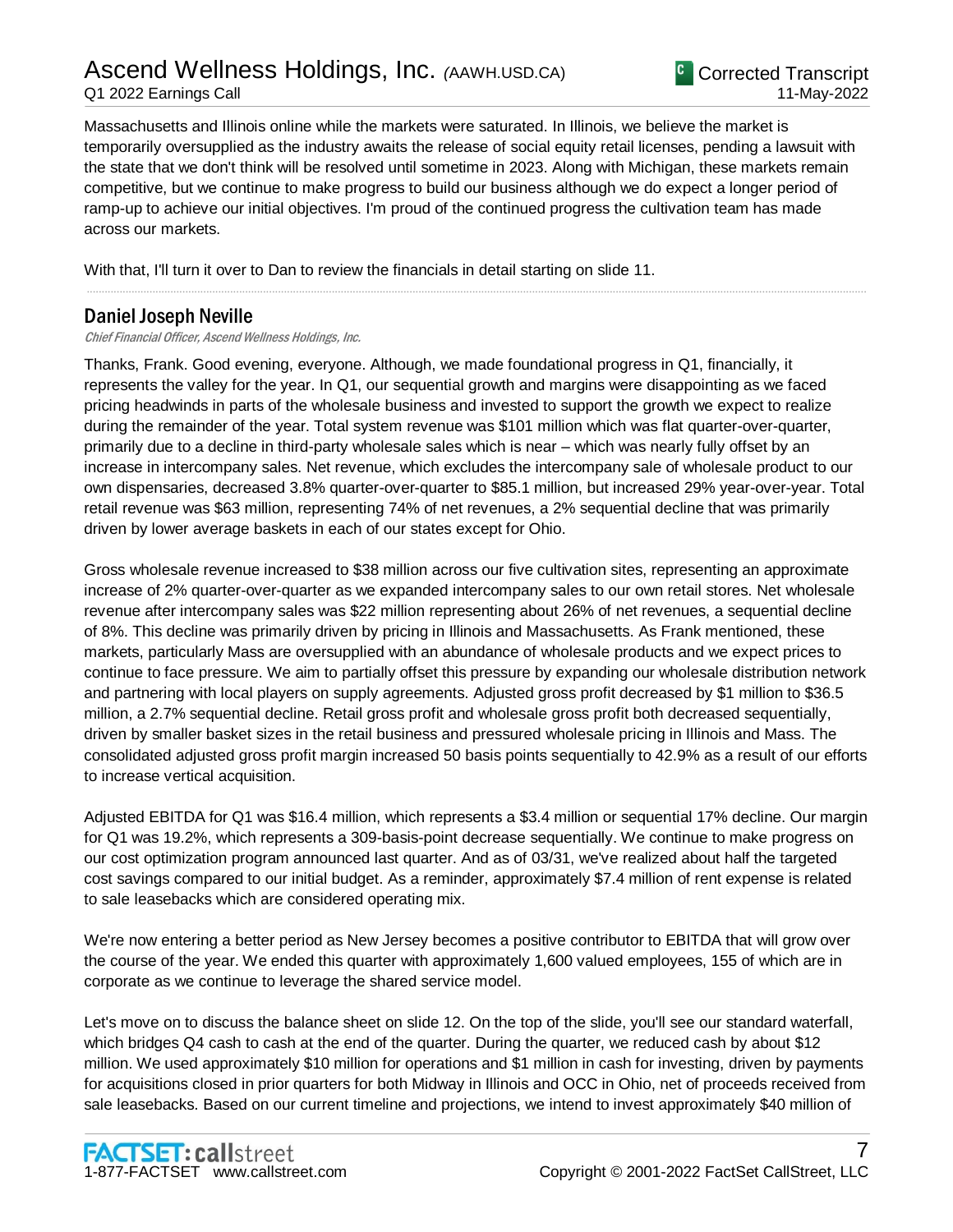# Ascend Wellness Holdings, Inc. *(*AAWH.USD.CA) Q1 2022 Earnings Call



Massachusetts and Illinois online while the markets were saturated. In Illinois, we believe the market is temporarily oversupplied as the industry awaits the release of social equity retail licenses, pending a lawsuit with the state that we don't think will be resolved until sometime in 2023. Along with Michigan, these markets remain competitive, but we continue to make progress to build our business although we do expect a longer period of ramp-up to achieve our initial objectives. I'm proud of the continued progress the cultivation team has made across our markets.

.....................................................................................................................................................................................................................................................................

With that, I'll turn it over to Dan to review the financials in detail starting on slide 11.

# Daniel Joseph Neville

Chief Financial Officer, Ascend Wellness Holdings, Inc.

Thanks, Frank. Good evening, everyone. Although, we made foundational progress in Q1, financially, it represents the valley for the year. In Q1, our sequential growth and margins were disappointing as we faced pricing headwinds in parts of the wholesale business and invested to support the growth we expect to realize during the remainder of the year. Total system revenue was \$101 million which was flat quarter-over-quarter, primarily due to a decline in third-party wholesale sales which is near – which was nearly fully offset by an increase in intercompany sales. Net revenue, which excludes the intercompany sale of wholesale product to our own dispensaries, decreased 3.8% quarter-over-quarter to \$85.1 million, but increased 29% year-over-year. Total retail revenue was \$63 million, representing 74% of net revenues, a 2% sequential decline that was primarily driven by lower average baskets in each of our states except for Ohio.

Gross wholesale revenue increased to \$38 million across our five cultivation sites, representing an approximate increase of 2% quarter-over-quarter as we expanded intercompany sales to our own retail stores. Net wholesale revenue after intercompany sales was \$22 million representing about 26% of net revenues, a sequential decline of 8%. This decline was primarily driven by pricing in Illinois and Massachusetts. As Frank mentioned, these markets, particularly Mass are oversupplied with an abundance of wholesale products and we expect prices to continue to face pressure. We aim to partially offset this pressure by expanding our wholesale distribution network and partnering with local players on supply agreements. Adjusted gross profit decreased by \$1 million to \$36.5 million, a 2.7% sequential decline. Retail gross profit and wholesale gross profit both decreased sequentially, driven by smaller basket sizes in the retail business and pressured wholesale pricing in Illinois and Mass. The consolidated adjusted gross profit margin increased 50 basis points sequentially to 42.9% as a result of our efforts to increase vertical acquisition.

Adjusted EBITDA for Q1 was \$16.4 million, which represents a \$3.4 million or sequential 17% decline. Our margin for Q1 was 19.2%, which represents a 309-basis-point decrease sequentially. We continue to make progress on our cost optimization program announced last quarter. And as of 03/31, we've realized about half the targeted cost savings compared to our initial budget. As a reminder, approximately \$7.4 million of rent expense is related to sale leasebacks which are considered operating mix.

We're now entering a better period as New Jersey becomes a positive contributor to EBITDA that will grow over the course of the year. We ended this quarter with approximately 1,600 valued employees, 155 of which are in corporate as we continue to leverage the shared service model.

Let's move on to discuss the balance sheet on slide 12. On the top of the slide, you'll see our standard waterfall, which bridges Q4 cash to cash at the end of the quarter. During the quarter, we reduced cash by about \$12 million. We used approximately \$10 million for operations and \$1 million in cash for investing, driven by payments for acquisitions closed in prior quarters for both Midway in Illinois and OCC in Ohio, net of proceeds received from sale leasebacks. Based on our current timeline and projections, we intend to invest approximately \$40 million of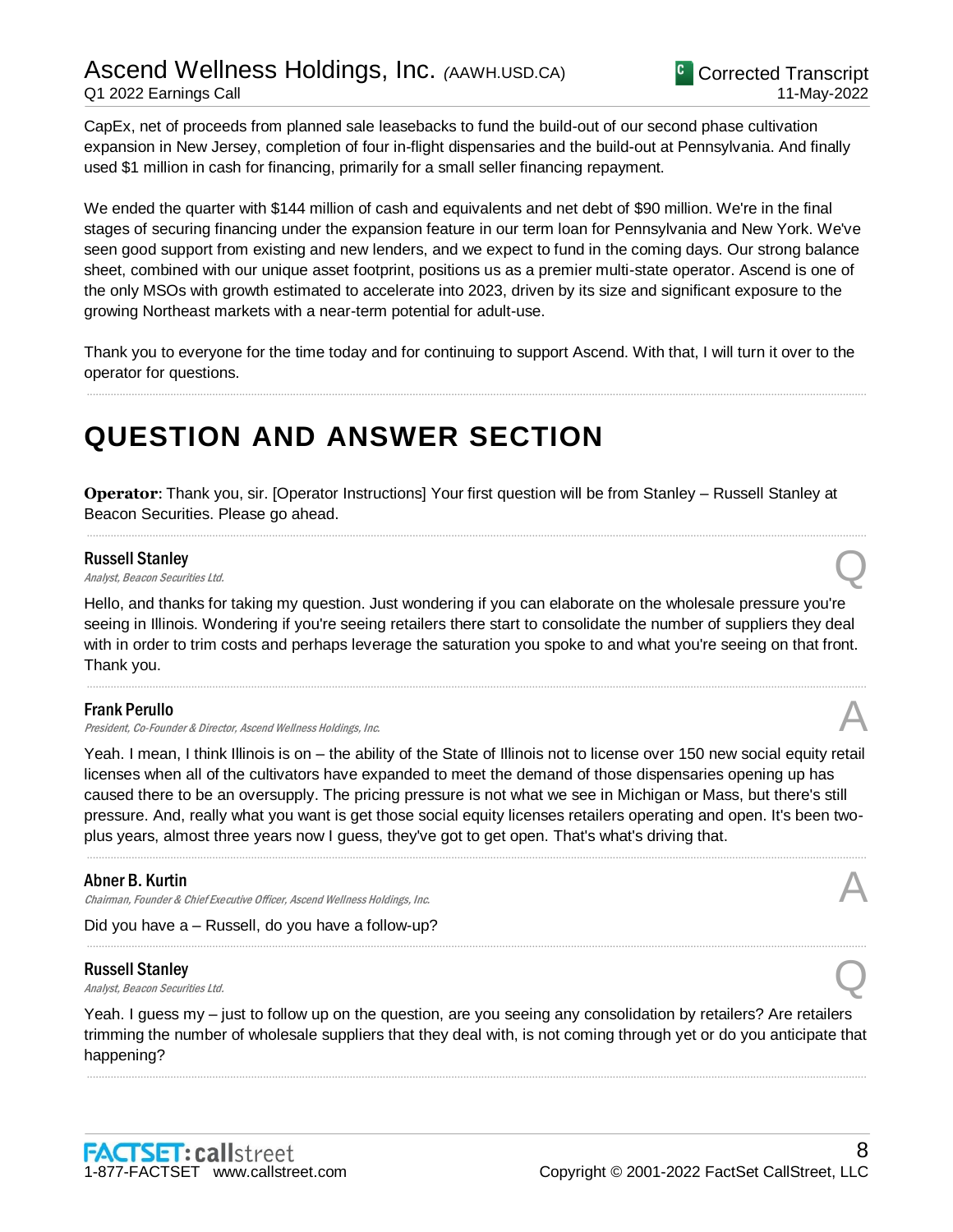CapEx, net of proceeds from planned sale leasebacks to fund the build-out of our second phase cultivation expansion in New Jersey, completion of four in-flight dispensaries and the build-out at Pennsylvania. And finally used \$1 million in cash for financing, primarily for a small seller financing repayment.

We ended the quarter with \$144 million of cash and equivalents and net debt of \$90 million. We're in the final stages of securing financing under the expansion feature in our term loan for Pennsylvania and New York. We've seen good support from existing and new lenders, and we expect to fund in the coming days. Our strong balance sheet, combined with our unique asset footprint, positions us as a premier multi-state operator. Ascend is one of the only MSOs with growth estimated to accelerate into 2023, driven by its size and significant exposure to the growing Northeast markets with a near-term potential for adult-use.

Thank you to everyone for the time today and for continuing to support Ascend. With that, I will turn it over to the operator for questions.

.....................................................................................................................................................................................................................................................................

# **QUESTION AND ANSWER SECTION**

**Operator**: Thank you, sir. [Operator Instructions] Your first question will be from Stanley – Russell Stanley at Beacon Securities. Please go ahead.

.....................................................................................................................................................................................................................................................................

#### Russell Stanley

**Russell Stanley**<br>Analyst, Beacon Securities Ltd. Quarter and Containers and Containers and Containers and Containers and Containers

Hello, and thanks for taking my question. Just wondering if you can elaborate on the wholesale pressure you're seeing in Illinois. Wondering if you're seeing retailers there start to consolidate the number of suppliers they deal with in order to trim costs and perhaps leverage the saturation you spoke to and what you're seeing on that front. Thank you.

.....................................................................................................................................................................................................................................................................

#### Frank Perullo

President, Co-Founder & Director, Ascend Wellness Holdings, Inc.

Yeah. I mean, I think Illinois is on – the ability of the State of Illinois not to license over 150 new social equity retail licenses when all of the cultivators have expanded to meet the demand of those dispensaries opening up has caused there to be an oversupply. The pricing pressure is not what we see in Michigan or Mass, but there's still pressure. And, really what you want is get those social equity licenses retailers operating and open. It's been twoplus years, almost three years now I guess, they've got to get open. That's what's driving that.

.....................................................................................................................................................................................................................................................................

.....................................................................................................................................................................................................................................................................

#### Abner B. Kurtin

Chairman, Founder & Chief Executive Officer, Ascend Wellness Holdings, Inc.

Did you have a – Russell, do you have a follow-up?

#### Russell Stanley

**Russell Stanley**<br>Analyst, Beacon Securities Ltd. Quarter and Containers and Containers and Containers and Containers and Containers

Yeah. I guess my – just to follow up on the question, are you seeing any consolidation by retailers? Are retailers trimming the number of wholesale suppliers that they deal with, is not coming through yet or do you anticipate that happening?

.....................................................................................................................................................................................................................................................................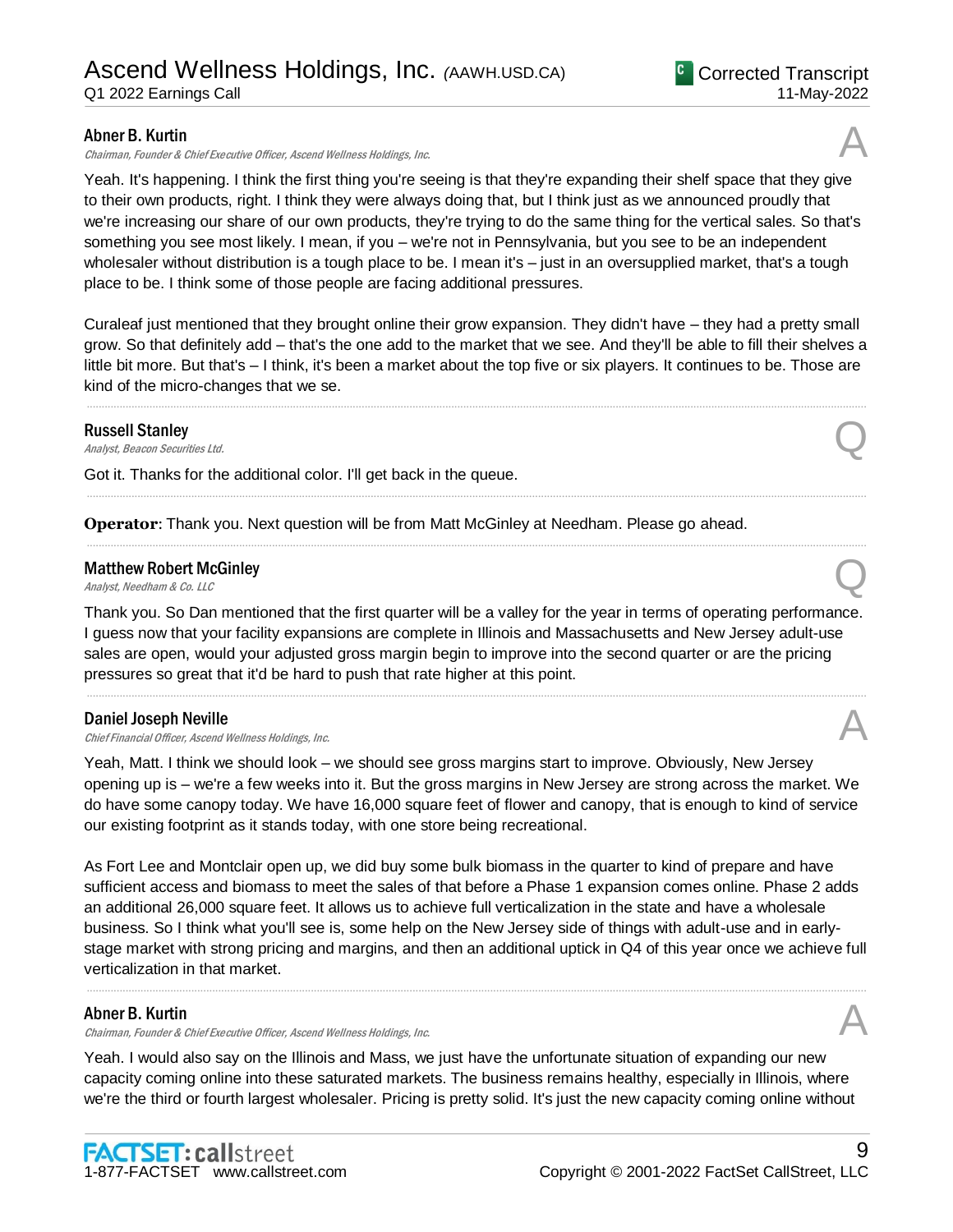#### Abner B. Kurtin

Chairman, Founder & Chief Executive Officer, Ascend Wellness Holdings, Inc. A

Yeah. It's happening. I think the first thing you're seeing is that they're expanding their shelf space that they give to their own products, right. I think they were always doing that, but I think just as we announced proudly that we're increasing our share of our own products, they're trying to do the same thing for the vertical sales. So that's something you see most likely. I mean, if you – we're not in Pennsylvania, but you see to be an independent wholesaler without distribution is a tough place to be. I mean it's – just in an oversupplied market, that's a tough place to be. I think some of those people are facing additional pressures.

Curaleaf just mentioned that they brought online their grow expansion. They didn't have – they had a pretty small grow. So that definitely add – that's the one add to the market that we see. And they'll be able to fill their shelves a little bit more. But that's – I think, it's been a market about the top five or six players. It continues to be. Those are kind of the micro-changes that we se.

.....................................................................................................................................................................................................................................................................

.....................................................................................................................................................................................................................................................................

.....................................................................................................................................................................................................................................................................

#### Russell Stanley

**Russell Stanley**<br>Analyst, Beacon Securities Ltd. Quarter and Containers and Containers and Containers and Containers and Containers

Got it. Thanks for the additional color. I'll get back in the queue.

**Operator**: Thank you. Next question will be from Matt McGinley at Needham. Please go ahead.

## Matthew Robert McGinley **Matthew Robert McGinley**<br>Analyst, Needham & Co. LLC

Thank you. So Dan mentioned that the first quarter will be a valley for the year in terms of operating performance. I guess now that your facility expansions are complete in Illinois and Massachusetts and New Jersey adult-use sales are open, would your adjusted gross margin begin to improve into the second quarter or are the pricing pressures so great that it'd be hard to push that rate higher at this point.

.....................................................................................................................................................................................................................................................................

#### Daniel Joseph Neville

Daniel Joseph Neville<br>Chief Financial Officer, Ascend Wellness Holdings, Inc. And The Chief Financial Officer, Ascend Wellness Holdings, Inc.

Yeah, Matt. I think we should look – we should see gross margins start to improve. Obviously, New Jersey opening up is – we're a few weeks into it. But the gross margins in New Jersey are strong across the market. We do have some canopy today. We have 16,000 square feet of flower and canopy, that is enough to kind of service our existing footprint as it stands today, with one store being recreational.

As Fort Lee and Montclair open up, we did buy some bulk biomass in the quarter to kind of prepare and have sufficient access and biomass to meet the sales of that before a Phase 1 expansion comes online. Phase 2 adds an additional 26,000 square feet. It allows us to achieve full verticalization in the state and have a wholesale business. So I think what you'll see is, some help on the New Jersey side of things with adult-use and in earlystage market with strong pricing and margins, and then an additional uptick in Q4 of this year once we achieve full verticalization in that market.

.....................................................................................................................................................................................................................................................................

### Abner B. Kurtin

Chairman, Founder & Chief Executive Officer, Ascend Wellness Holdings, Inc. A

Yeah. I would also say on the Illinois and Mass, we just have the unfortunate situation of expanding our new capacity coming online into these saturated markets. The business remains healthy, especially in Illinois, where we're the third or fourth largest wholesaler. Pricing is pretty solid. It's just the new capacity coming online without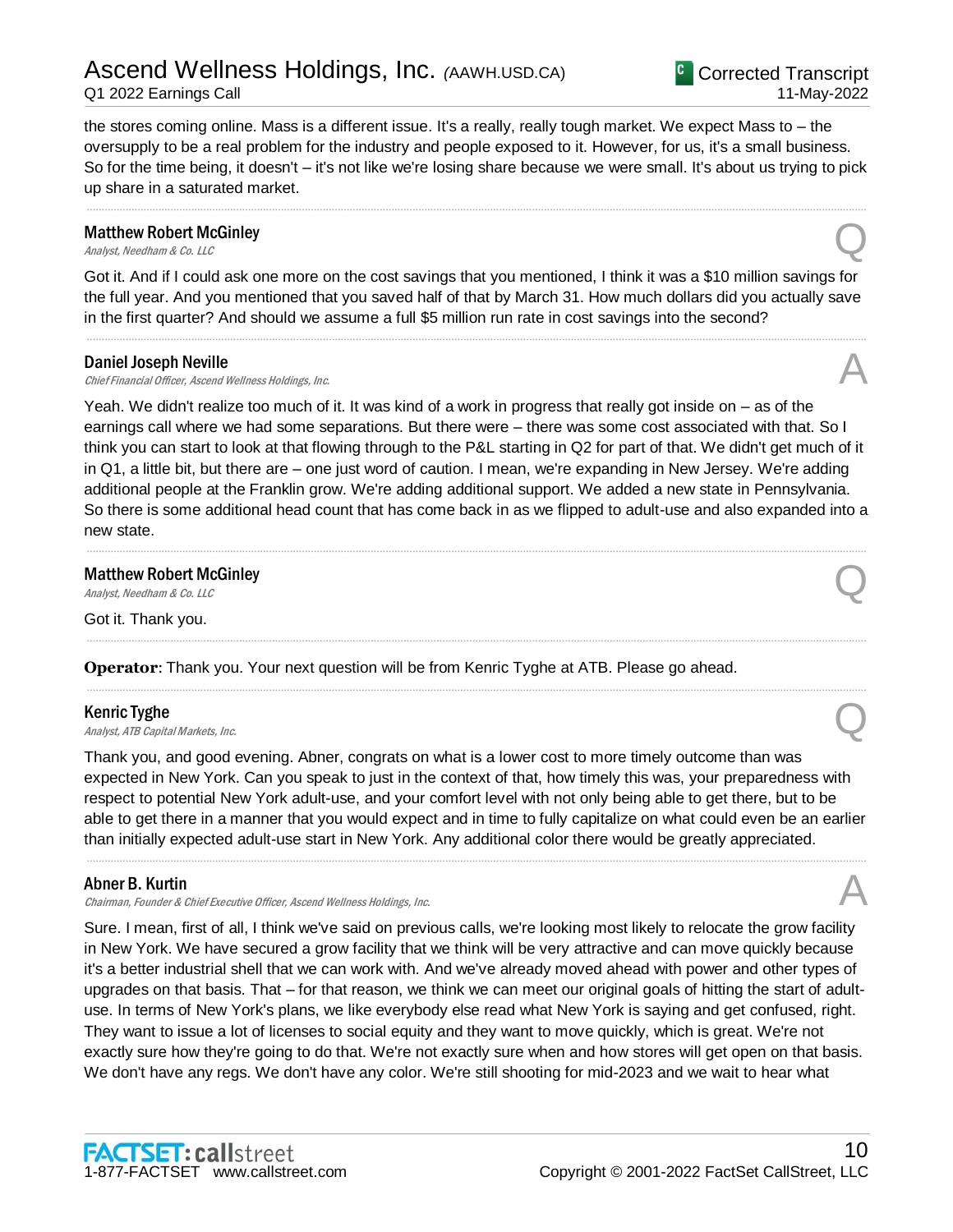# Ascend Wellness Holdings, Inc. *(*AAWH.USD.CA) Q1 2022 Earnings Call

the stores coming online. Mass is a different issue. It's a really, really tough market. We expect Mass to – the oversupply to be a real problem for the industry and people exposed to it. However, for us, it's a small business. So for the time being, it doesn't – it's not like we're losing share because we were small. It's about us trying to pick up share in a saturated market.

.....................................................................................................................................................................................................................................................................

## Matthew Robert McGinley **Matthew Robert McGinley**<br>Analyst, Needham & Co. LLC

Got it. And if I could ask one more on the cost savings that you mentioned, I think it was a \$10 million savings for the full year. And you mentioned that you saved half of that by March 31. How much dollars did you actually save in the first quarter? And should we assume a full \$5 million run rate in cost savings into the second?

.....................................................................................................................................................................................................................................................................

#### Daniel Joseph Neville

Daniel Joseph Neville<br>Chief Financial Officer, Ascend Wellness Holdings, Inc. And The Chief Financial Officer, Ascend Wellness Holdings, Inc.

Yeah. We didn't realize too much of it. It was kind of a work in progress that really got inside on – as of the earnings call where we had some separations. But there were – there was some cost associated with that. So I think you can start to look at that flowing through to the P&L starting in Q2 for part of that. We didn't get much of it in Q1, a little bit, but there are – one just word of caution. I mean, we're expanding in New Jersey. We're adding additional people at the Franklin grow. We're adding additional support. We added a new state in Pennsylvania. So there is some additional head count that has come back in as we flipped to adult-use and also expanded into a new state.

.....................................................................................................................................................................................................................................................................

.....................................................................................................................................................................................................................................................................

.....................................................................................................................................................................................................................................................................

## Matthew Robert McGinley **Matthew Robert McGinley**<br>Analyst, Needham & Co. LLC

Got it. Thank you.

### **Operator**: Thank you. Your next question will be from Kenric Tyghe at ATB. Please go ahead.

#### Kenric Tyghe

**Kenric Tyghe**<br>Analyst, ATB Capital Markets, Inc.  $\bigotimes$ 

Thank you, and good evening. Abner, congrats on what is a lower cost to more timely outcome than was expected in New York. Can you speak to just in the context of that, how timely this was, your preparedness with respect to potential New York adult-use, and your comfort level with not only being able to get there, but to be able to get there in a manner that you would expect and in time to fully capitalize on what could even be an earlier than initially expected adult-use start in New York. Any additional color there would be greatly appreciated.

.....................................................................................................................................................................................................................................................................

#### Abner B. Kurtin

Chairman, Founder & Chief Executive Officer, Ascend Wellness Holdings, Inc.

Sure. I mean, first of all, I think we've said on previous calls, we're looking most likely to relocate the grow facility in New York. We have secured a grow facility that we think will be very attractive and can move quickly because it's a better industrial shell that we can work with. And we've already moved ahead with power and other types of upgrades on that basis. That – for that reason, we think we can meet our original goals of hitting the start of adultuse. In terms of New York's plans, we like everybody else read what New York is saying and get confused, right. They want to issue a lot of licenses to social equity and they want to move quickly, which is great. We're not exactly sure how they're going to do that. We're not exactly sure when and how stores will get open on that basis. We don't have any regs. We don't have any color. We're still shooting for mid-2023 and we wait to hear what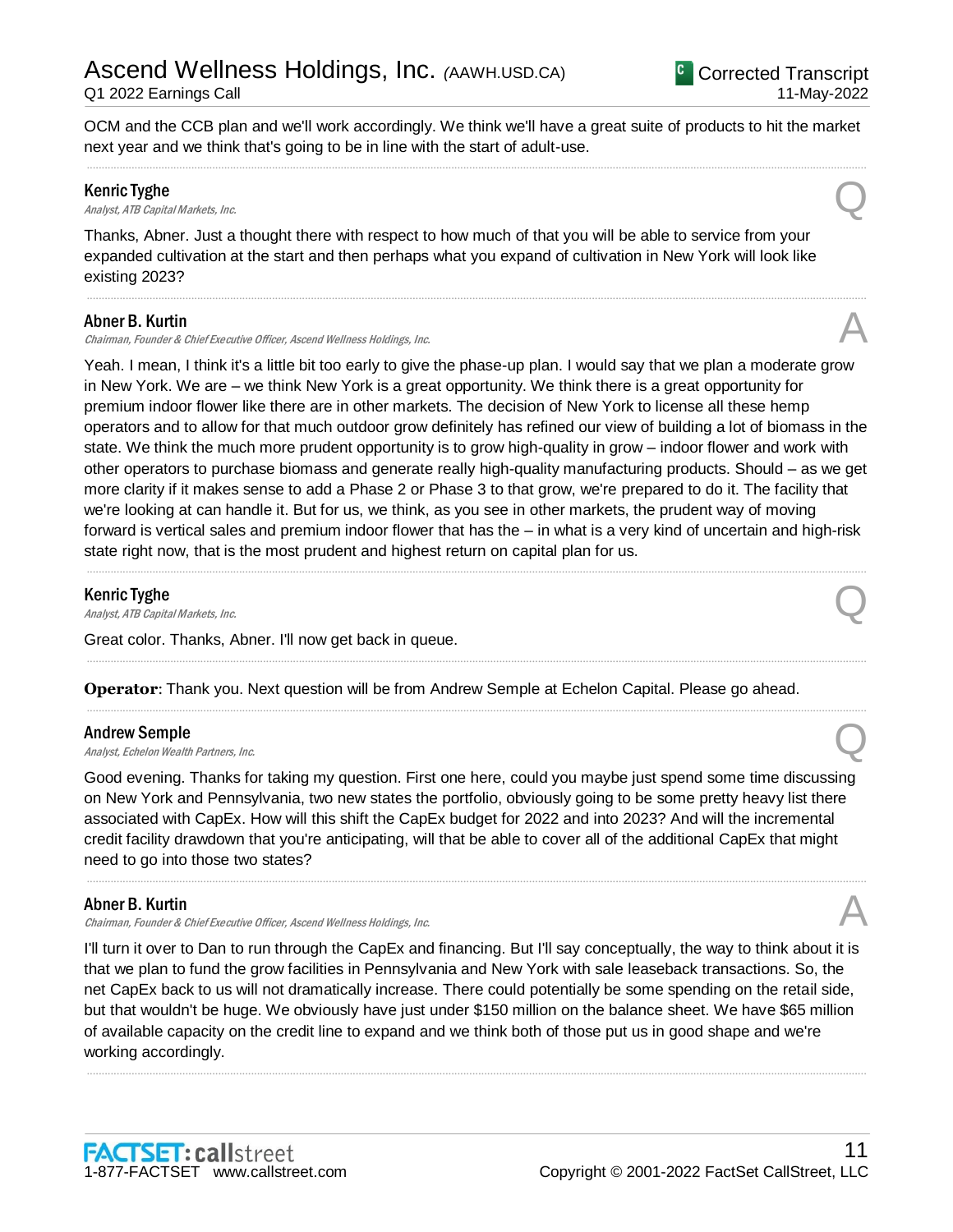OCM and the CCB plan and we'll work accordingly. We think we'll have a great suite of products to hit the market next year and we think that's going to be in line with the start of adult-use. .....................................................................................................................................................................................................................................................................

#### Kenric Tyghe

**Kenric Tyghe**<br>Analyst, ATB Capital Markets, Inc.  $\bigotimes$ 

Thanks, Abner. Just a thought there with respect to how much of that you will be able to service from your expanded cultivation at the start and then perhaps what you expand of cultivation in New York will look like existing 2023?

.....................................................................................................................................................................................................................................................................

#### Abner B. Kurtin

Chairman, Founder & Chief Executive Officer, Ascend Wellness Holdings, Inc.

Yeah. I mean, I think it's a little bit too early to give the phase-up plan. I would say that we plan a moderate grow in New York. We are – we think New York is a great opportunity. We think there is a great opportunity for premium indoor flower like there are in other markets. The decision of New York to license all these hemp operators and to allow for that much outdoor grow definitely has refined our view of building a lot of biomass in the state. We think the much more prudent opportunity is to grow high-quality in grow – indoor flower and work with other operators to purchase biomass and generate really high-quality manufacturing products. Should – as we get more clarity if it makes sense to add a Phase 2 or Phase 3 to that grow, we're prepared to do it. The facility that we're looking at can handle it. But for us, we think, as you see in other markets, the prudent way of moving forward is vertical sales and premium indoor flower that has the – in what is a very kind of uncertain and high-risk state right now, that is the most prudent and highest return on capital plan for us.

.....................................................................................................................................................................................................................................................................

.....................................................................................................................................................................................................................................................................

.....................................................................................................................................................................................................................................................................

#### Kenric Tyghe

**Kenric Tyghe**<br>Analyst, ATB Capital Markets, Inc.  $\bigotimes$ 

Great color. Thanks, Abner. I'll now get back in queue.

**Operator**: Thank you. Next question will be from Andrew Semple at Echelon Capital. Please go ahead.

#### Andrew Semple

**Andrew Semple**<br>Analyst, Echelon Wealth Partners, Inc.  $\bigotimes$ 

Good evening. Thanks for taking my question. First one here, could you maybe just spend some time discussing on New York and Pennsylvania, two new states the portfolio, obviously going to be some pretty heavy list there associated with CapEx. How will this shift the CapEx budget for 2022 and into 2023? And will the incremental credit facility drawdown that you're anticipating, will that be able to cover all of the additional CapEx that might need to go into those two states?

.....................................................................................................................................................................................................................................................................

#### Abner B. Kurtin

Chairman, Founder & Chief Executive Officer, Ascend Wellness Holdings, Inc.

I'll turn it over to Dan to run through the CapEx and financing. But I'll say conceptually, the way to think about it is that we plan to fund the grow facilities in Pennsylvania and New York with sale leaseback transactions. So, the net CapEx back to us will not dramatically increase. There could potentially be some spending on the retail side, but that wouldn't be huge. We obviously have just under \$150 million on the balance sheet. We have \$65 million of available capacity on the credit line to expand and we think both of those put us in good shape and we're working accordingly.

.....................................................................................................................................................................................................................................................................

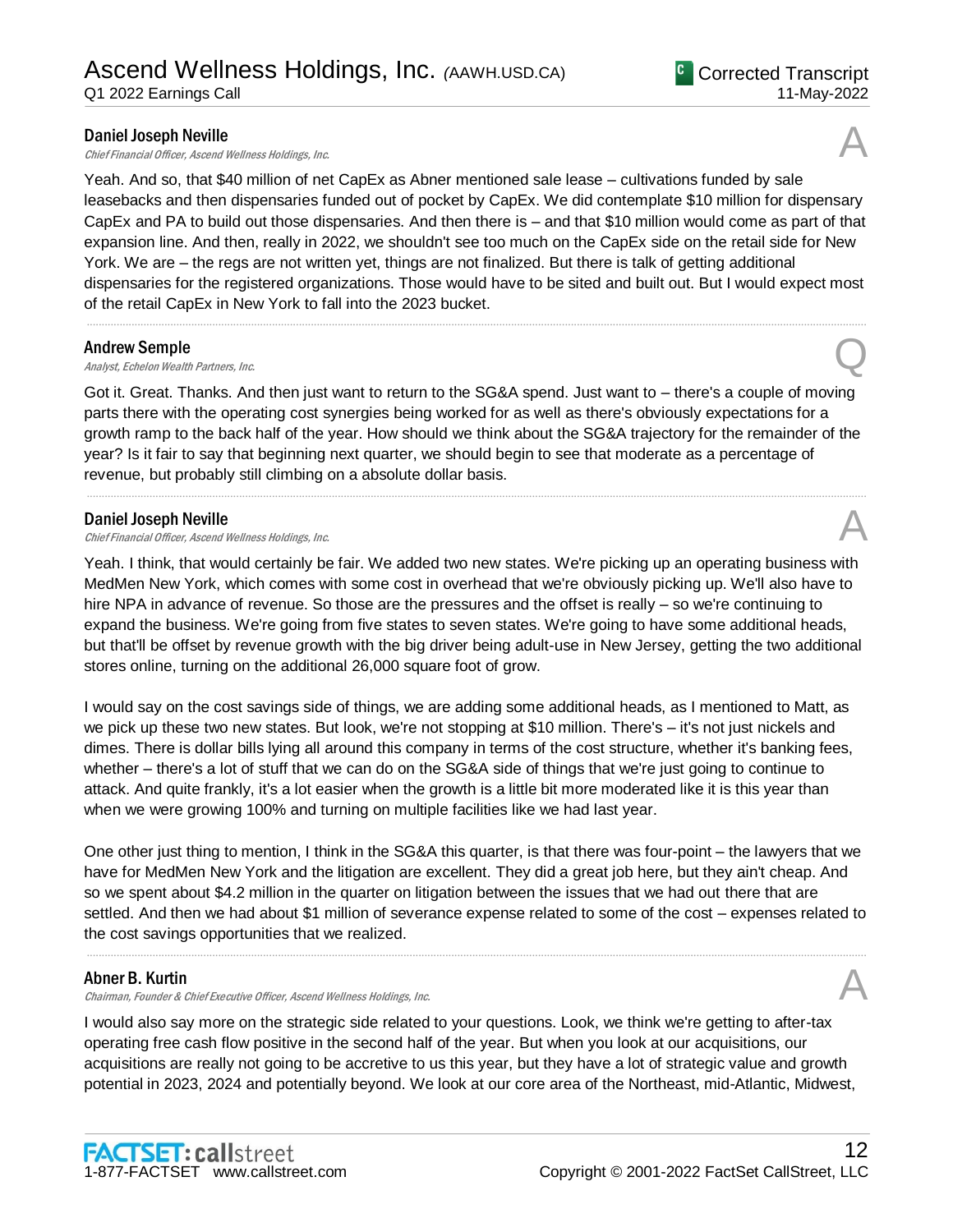Chief Financial Officer, Ascend Wellness Holdings, Inc.

Yeah. And so, that \$40 million of net CapEx as Abner mentioned sale lease – cultivations funded by sale leasebacks and then dispensaries funded out of pocket by CapEx. We did contemplate \$10 million for dispensary CapEx and PA to build out those dispensaries. And then there is – and that \$10 million would come as part of that expansion line. And then, really in 2022, we shouldn't see too much on the CapEx side on the retail side for New York. We are – the regs are not written yet, things are not finalized. But there is talk of getting additional dispensaries for the registered organizations. Those would have to be sited and built out. But I would expect most of the retail CapEx in New York to fall into the 2023 bucket.

.....................................................................................................................................................................................................................................................................

#### Andrew Semple

**Andrew Semple**<br>Analyst, Echelon Wealth Partners, Inc.  $\bigotimes$ 

Got it. Great. Thanks. And then just want to return to the SG&A spend. Just want to – there's a couple of moving parts there with the operating cost synergies being worked for as well as there's obviously expectations for a growth ramp to the back half of the year. How should we think about the SG&A trajectory for the remainder of the year? Is it fair to say that beginning next quarter, we should begin to see that moderate as a percentage of revenue, but probably still climbing on a absolute dollar basis.

.....................................................................................................................................................................................................................................................................

#### Daniel Joseph Neville

**Daniel Joseph Neville**<br>Chief Financial Officer, Ascend Wellness Holdings, Inc.  $\mathcal{A}$ 

Yeah. I think, that would certainly be fair. We added two new states. We're picking up an operating business with MedMen New York, which comes with some cost in overhead that we're obviously picking up. We'll also have to hire NPA in advance of revenue. So those are the pressures and the offset is really – so we're continuing to expand the business. We're going from five states to seven states. We're going to have some additional heads, but that'll be offset by revenue growth with the big driver being adult-use in New Jersey, getting the two additional stores online, turning on the additional 26,000 square foot of grow.

I would say on the cost savings side of things, we are adding some additional heads, as I mentioned to Matt, as we pick up these two new states. But look, we're not stopping at \$10 million. There's – it's not just nickels and dimes. There is dollar bills lying all around this company in terms of the cost structure, whether it's banking fees, whether – there's a lot of stuff that we can do on the SG&A side of things that we're just going to continue to attack. And quite frankly, it's a lot easier when the growth is a little bit more moderated like it is this year than when we were growing 100% and turning on multiple facilities like we had last year.

One other just thing to mention, I think in the SG&A this quarter, is that there was four-point – the lawyers that we have for MedMen New York and the litigation are excellent. They did a great job here, but they ain't cheap. And so we spent about \$4.2 million in the quarter on litigation between the issues that we had out there that are settled. And then we had about \$1 million of severance expense related to some of the cost – expenses related to the cost savings opportunities that we realized.

.....................................................................................................................................................................................................................................................................

#### Abner B. Kurtin

Chairman, Founder & Chief Executive Officer, Ascend Wellness Holdings, Inc.

I would also say more on the strategic side related to your questions. Look, we think we're getting to after-tax operating free cash flow positive in the second half of the year. But when you look at our acquisitions, our acquisitions are really not going to be accretive to us this year, but they have a lot of strategic value and growth potential in 2023, 2024 and potentially beyond. We look at our core area of the Northeast, mid-Atlantic, Midwest,

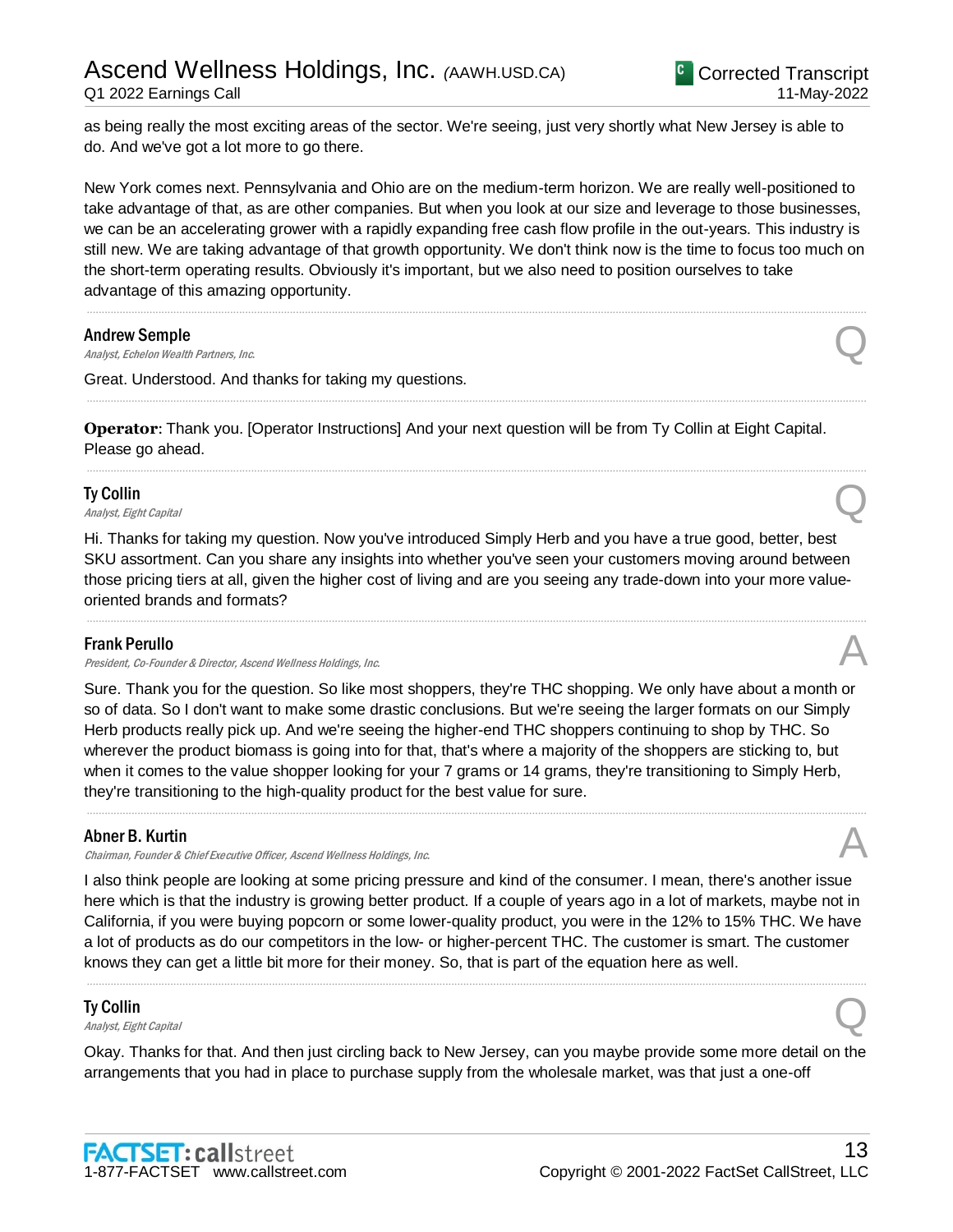as being really the most exciting areas of the sector. We're seeing, just very shortly what New Jersey is able to do. And we've got a lot more to go there.

New York comes next. Pennsylvania and Ohio are on the medium-term horizon. We are really well-positioned to take advantage of that, as are other companies. But when you look at our size and leverage to those businesses, we can be an accelerating grower with a rapidly expanding free cash flow profile in the out-years. This industry is still new. We are taking advantage of that growth opportunity. We don't think now is the time to focus too much on the short-term operating results. Obviously it's important, but we also need to position ourselves to take advantage of this amazing opportunity.

.....................................................................................................................................................................................................................................................................

.....................................................................................................................................................................................................................................................................

.....................................................................................................................................................................................................................................................................

#### Andrew Semple

**Andrew Semple**<br>Analyst, Echelon Wealth Partners, Inc.  $\bigotimes$ 

Great. Understood. And thanks for taking my questions.

**Operator**: Thank you. [Operator Instructions] And your next question will be from Ty Collin at Eight Capital. Please go ahead.

#### Ty Collin

**Ty Collin**  $\Omega$ <br>Analyst, Eight Capital Quarter of  $\Omega$ 

Hi. Thanks for taking my question. Now you've introduced Simply Herb and you have a true good, better, best SKU assortment. Can you share any insights into whether you've seen your customers moving around between those pricing tiers at all, given the higher cost of living and are you seeing any trade-down into your more valueoriented brands and formats?

.....................................................................................................................................................................................................................................................................

#### Frank Perullo

President, Co-Founder & Director, Ascend Wellness Holdings, Inc.

Sure. Thank you for the question. So like most shoppers, they're THC shopping. We only have about a month or so of data. So I don't want to make some drastic conclusions. But we're seeing the larger formats on our Simply Herb products really pick up. And we're seeing the higher-end THC shoppers continuing to shop by THC. So wherever the product biomass is going into for that, that's where a majority of the shoppers are sticking to, but when it comes to the value shopper looking for your 7 grams or 14 grams, they're transitioning to Simply Herb, they're transitioning to the high-quality product for the best value for sure.

.....................................................................................................................................................................................................................................................................

#### Abner B. Kurtin

Chairman, Founder & Chief Executive Officer, Ascend Wellness Holdings, Inc.

I also think people are looking at some pricing pressure and kind of the consumer. I mean, there's another issue here which is that the industry is growing better product. If a couple of years ago in a lot of markets, maybe not in California, if you were buying popcorn or some lower-quality product, you were in the 12% to 15% THC. We have a lot of products as do our competitors in the low- or higher-percent THC. The customer is smart. The customer knows they can get a little bit more for their money. So, that is part of the equation here as well.

.....................................................................................................................................................................................................................................................................

#### Ty Collin

# **Ty Collin**  $\Omega$ <br>Analyst, Eight Capital Quarter of  $\Omega$

Okay. Thanks for that. And then just circling back to New Jersey, can you maybe provide some more detail on the arrangements that you had in place to purchase supply from the wholesale market, was that just a one-off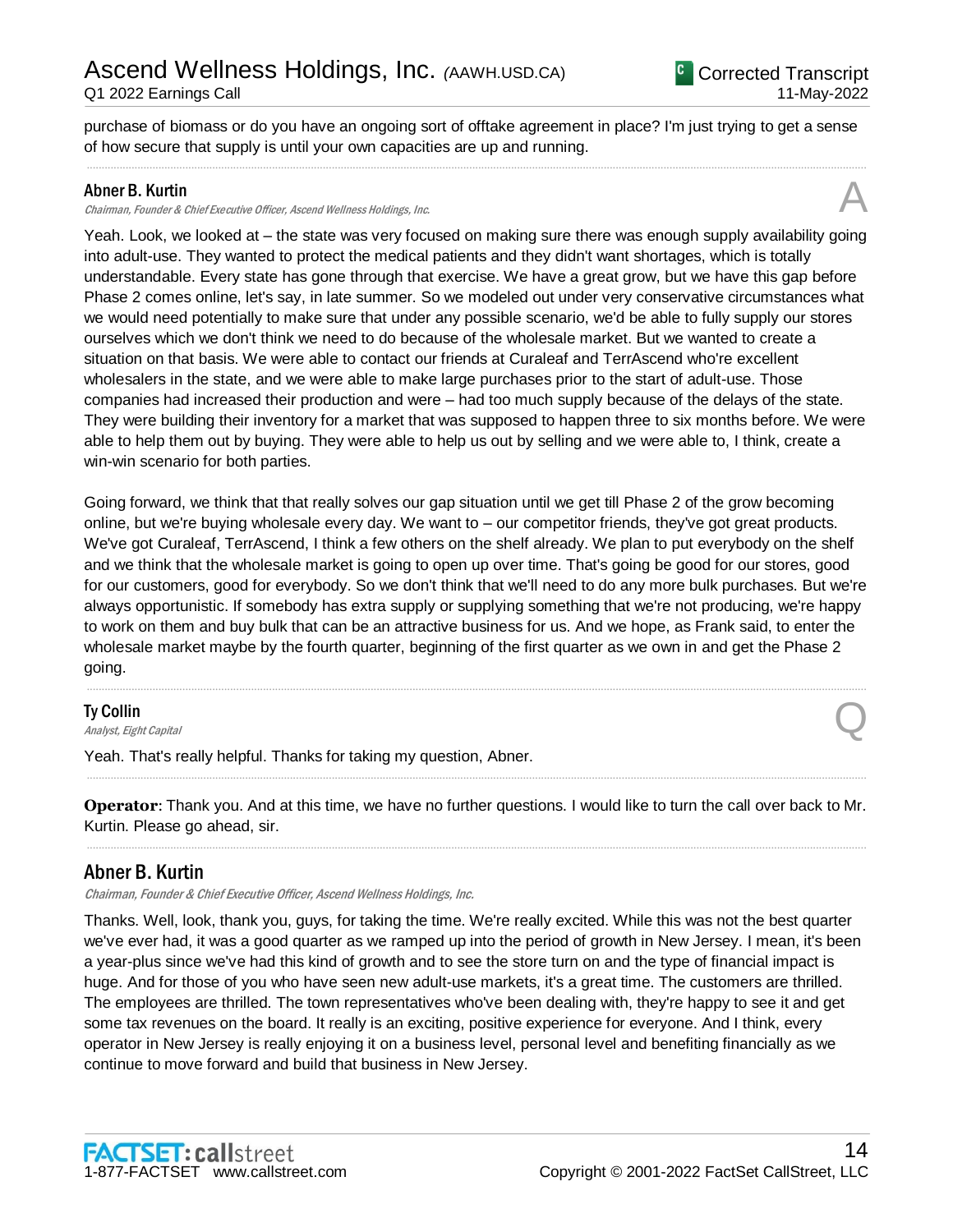purchase of biomass or do you have an ongoing sort of offtake agreement in place? I'm just trying to get a sense of how secure that supply is until your own capacities are up and running. .....................................................................................................................................................................................................................................................................

#### Abner B. Kurtin

#### Chairman, Founder & Chief Executive Officer, Ascend Wellness Holdings, Inc.

Yeah. Look, we looked at – the state was very focused on making sure there was enough supply availability going into adult-use. They wanted to protect the medical patients and they didn't want shortages, which is totally understandable. Every state has gone through that exercise. We have a great grow, but we have this gap before Phase 2 comes online, let's say, in late summer. So we modeled out under very conservative circumstances what we would need potentially to make sure that under any possible scenario, we'd be able to fully supply our stores ourselves which we don't think we need to do because of the wholesale market. But we wanted to create a situation on that basis. We were able to contact our friends at Curaleaf and TerrAscend who're excellent wholesalers in the state, and we were able to make large purchases prior to the start of adult-use. Those companies had increased their production and were – had too much supply because of the delays of the state. They were building their inventory for a market that was supposed to happen three to six months before. We were able to help them out by buying. They were able to help us out by selling and we were able to, I think, create a win-win scenario for both parties.

Going forward, we think that that really solves our gap situation until we get till Phase 2 of the grow becoming online, but we're buying wholesale every day. We want to – our competitor friends, they've got great products. We've got Curaleaf, TerrAscend, I think a few others on the shelf already. We plan to put everybody on the shelf and we think that the wholesale market is going to open up over time. That's going be good for our stores, good for our customers, good for everybody. So we don't think that we'll need to do any more bulk purchases. But we're always opportunistic. If somebody has extra supply or supplying something that we're not producing, we're happy to work on them and buy bulk that can be an attractive business for us. And we hope, as Frank said, to enter the wholesale market maybe by the fourth quarter, beginning of the first quarter as we own in and get the Phase 2 going.

.....................................................................................................................................................................................................................................................................

#### Ty Collin

**Ty Collin Second Line Collin** Collin Constant Capital  $\mathbb{Q}$ 

Yeah. That's really helpful. Thanks for taking my question, Abner.

**Operator**: Thank you. And at this time, we have no further questions. I would like to turn the call over back to Mr. Kurtin. Please go ahead, sir. .....................................................................................................................................................................................................................................................................

.....................................................................................................................................................................................................................................................................

#### Abner B. Kurtin

Chairman, Founder & Chief Executive Officer, Ascend Wellness Holdings, Inc.

Thanks. Well, look, thank you, guys, for taking the time. We're really excited. While this was not the best quarter we've ever had, it was a good quarter as we ramped up into the period of growth in New Jersey. I mean, it's been a year-plus since we've had this kind of growth and to see the store turn on and the type of financial impact is huge. And for those of you who have seen new adult-use markets, it's a great time. The customers are thrilled. The employees are thrilled. The town representatives who've been dealing with, they're happy to see it and get some tax revenues on the board. It really is an exciting, positive experience for everyone. And I think, every operator in New Jersey is really enjoying it on a business level, personal level and benefiting financially as we continue to move forward and build that business in New Jersey.